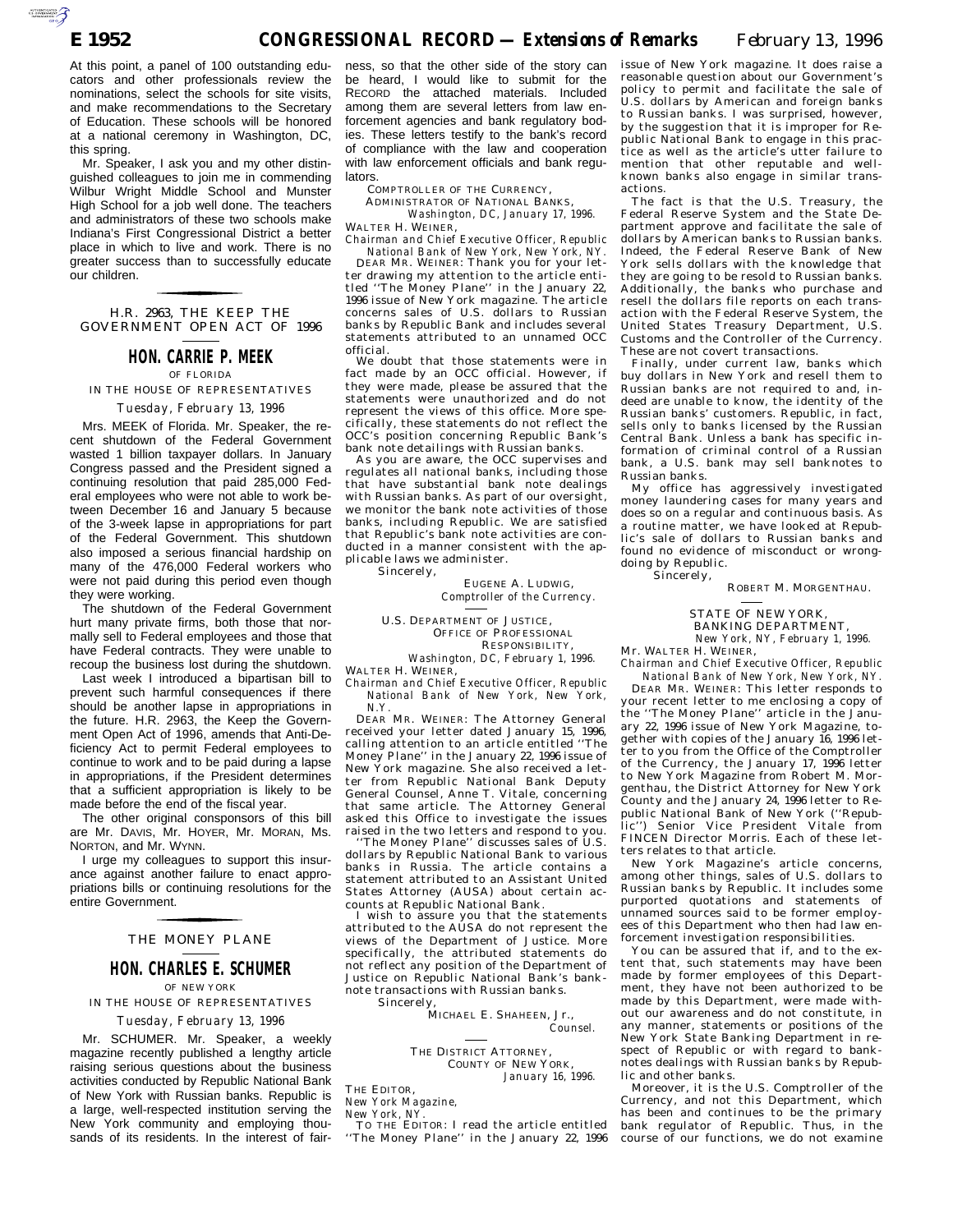AUTOROTOMICALE

At this point, a panel of 100 outstanding educators and other professionals review the nominations, select the schools for site visits, and make recommendations to the Secretary of Education. These schools will be honored at a national ceremony in Washington, DC, this spring.

Mr. Speaker, I ask you and my other distinguished colleagues to join me in commending Wilbur Wright Middle School and Munster High School for a job well done. The teachers and administrators of these two schools make Indiana's First Congressional District a better place in which to live and work. There is no greater success than to successfully educate our children.

GOVERNMENT OPEN ACT OF 1996 H.R. 2963, THE KEEP THE for the control of the control of

# **HON. CARRIE P. MEEK**

OF FLORIDA

IN THE HOUSE OF REPRESENTATIVES *Tuesday, February 13, 1996*

Mrs. MEEK of Florida. Mr. Speaker, the recent shutdown of the Federal Government wasted 1 billion taxpayer dollars. In January Congress passed and the President signed a continuing resolution that paid 285,000 Federal employees who were not able to work between December 16 and January 5 because of the 3-week lapse in appropriations for part of the Federal Government. This shutdown also imposed a serious financial hardship on many of the 476,000 Federal workers who were not paid during this period even though they were working.

The shutdown of the Federal Government hurt many private firms, both those that normally sell to Federal employees and those that have Federal contracts. They were unable to recoup the business lost during the shutdown.

Last week I introduced a bipartisan bill to prevent such harmful consequences if there should be another lapse in appropriations in the future. H.R. 2963, the Keep the Government Open Act of 1996, amends that Anti-Deficiency Act to permit Federal employees to continue to work and to be paid during a lapse in appropriations, if the President determines that a sufficient appropriation is likely to be made before the end of the fiscal year.

The other original consponsors of this bill are Mr. DAVIS, Mr. HOYER, Mr. MORAN, Ms. NORTON, and Mr. WYNN.

I urge my colleagues to support this insurance against another failure to enact appropriations bills or continuing resolutions for the entire Government.

### THE MONEY PLANE for the control of the control of

### **HON. CHARLES E. SCHUMER**

OF NEW YORK

### IN THE HOUSE OF REPRESENTATIVES

#### *Tuesday, February 13, 1996*

Mr. SCHUMER. Mr. Speaker, a weekly magazine recently published a lengthy article raising serious questions about the business activities conducted by Republic National Bank of New York with Russian banks. Republic is a large, well-respected institution serving the New York community and employing thousands of its residents. In the interest of fair-

ness, so that the other side of the story can be heard, I would like to submit for the RECORD the attached materials. Included among them are several letters from law enforcement agencies and bank regulatory bodies. These letters testify to the bank's record of compliance with the law and cooperation with law enforcement officials and bank regulators.

COMPTROLLER OF THE CURRENCY,

ADMINISTRATOR OF NATIONAL BANKS, *Washington, DC, January 17, 1996.*

WALTER H. WEINER, *Chairman and Chief Executive Officer, Republic National Bank of New York, New York, NY.*

DEAR MR. WEINER: Thank you for your letter drawing my attention to the article entitled ''The Money Plane'' in the January 22, 1996 issue of New York magazine. The article concerns sales of U.S. dollars to Russian banks by Republic Bank and includes several statements attributed to an unnamed OCC official.

We doubt that those statements were in fact made by an OCC official. However, if they were made, please be assured that the statements were unauthorized and do not represent the views of this office. More specifically, these statements do not reflect the OCC's position concerning Republic Bank's bank note detailings with Russian banks.

As you are aware, the OCC supervises and regulates all national banks, including those that have substantial bank note dealings with Russian banks. As part of our oversight, we monitor the bank note activities of those banks, including Republic. We are satisfied that Republic's bank note activities are conducted in a manner consistent with the applicable laws we administer. Sincerely,

> EUGENE A. LUDWIG, *Comptroller of the Currency.*

U.S. DEPARTMENT OF JUSTICE, OFFICE OF PROFESSIONAL RESPONSIBILITY, *Washington, DC, February 1, 1996.*

WALTER H. WEINER,

*Chairman and Chief Executive Officer, Republic National Bank of New York, New York, N.Y.*

DEAR MR. WEINER: The Attorney General received your letter dated January 15, 1996, calling attention to an article entitled ''The Money Plane'' in the January 22, 1996 issue of New York magazine. She also received a letter from Republic National Bank Deputy General Counsel, Anne T. Vitale, concerning that same article. The Attorney General asked this Office to investigate the issues raised in the two letters and respond to you. ''The Money Plane'' discusses sales of U.S.

dollars by Republic National Bank to various banks in Russia. The article contains a statement attributed to an Assistant United States Attorney (AUSA) about certain accounts at Republic National Bank.

wish to assure you that the statements attributed to the AUSA do not represent the views of the Department of Justice. More specifically, the attributed statements do not reflect any position of the Department of Justice on Republic National Bank's banknote transactions with Russian banks. Sincerely,

MICHAEL E. SHAHEEN, Jr., *Counsel.*

THE DISTRICT ATTORNEY, COUNTY OF NEW YORK,

*January 16, 1996.*

THE EDITOR, *New York Magazine,*

*New York, NY.*

TO THE EDITOR: I read the article entitled ''The Money Plane'' in the January 22, 1996 issue of New York magazine. It does raise a reasonable question about our Government's policy to permit and facilitate the sale of U.S. dollars by American and foreign banks to Russian banks. I was surprised, however, by the suggestion that it is improper for Republic National Bank to engage in this practice as well as the article's utter failure to mention that other reputable and wellknown banks also engage in similar transactions.

The fact is that the U.S. Treasury, the Federal Reserve System and the State Department approve and facilitate the sale of dollars by American banks to Russian banks. Indeed, the Federal Reserve Bank of New York sells dollars with the knowledge that they are going to be resold to Russian banks. Additionally, the banks who purchase and resell the dollars file reports on each transaction with the Federal Reserve System, the United States Treasury Department, U.S. Customs and the Controller of the Currency. These are not covert transactions.

Finally, under current law, banks which buy dollars in New York and resell them to Russian banks are not required to and, indeed are unable to know, the identity of the Russian banks' customers. Republic, in fact, sells only to banks licensed by the Russian Central Bank. Unless a bank has specific information of criminal control of a Russian bank, a U.S. bank may sell banknotes to Russian banks.

My office has aggressively investigated money laundering cases for many years and does so on a regular and continuous basis. As a routine matter, we have looked at Republic's sale of dollars to Russian banks and found no evidence of misconduct or wrongdoing by Republic. Sincerely.

ROBERT M. MORGENTHAU.

STATE OF NEW YORK, BANKING DEPARTMENT, *New York, NY, February 1, 1996.*

Mr. WALTER H. WEINER, *Chairman and Chief Executive Officer, Republic National Bank of New York, New York, NY.*

DEAR MR. WEINER: This letter responds to your recent letter to me enclosing a copy of the ''The Money Plane'' article in the January 22, 1996 issue of New York Magazine, together with copies of the January 16, 1996 letter to you from the Office of the Comptroller of the Currency, the January 17, 1996 letter to New York Magazine from Robert M. Morgenthau, the District Attorney for New York County and the January 24, 1996 letter to Republic National Bank of New York (''Republic'') Senior Vice President Vitale from FINCEN Director Morris. Each of these letters relates to that article.

New York Magazine's article concerns, among other things, sales of U.S. dollars to Russian banks by Republic. It includes some purported quotations and statements of unnamed sources said to be former employees of this Department who then had law enforcement investigation responsibilities.

You can be assured that if, and to the extent that, such statements may have been made by former employees of this Department, they have not been authorized to be made by this Department, were made without our awareness and do not constitute, in any manner, statements or positions of the New York State Banking Department in respect of Republic or with regard to banknotes dealings with Russian banks by Republic and other banks.

Moreover, it is the U.S. Comptroller of the Currency, and not this Department, which has been and continues to be the primary bank regulator of Republic. Thus, in the course of our functions, we do not examine